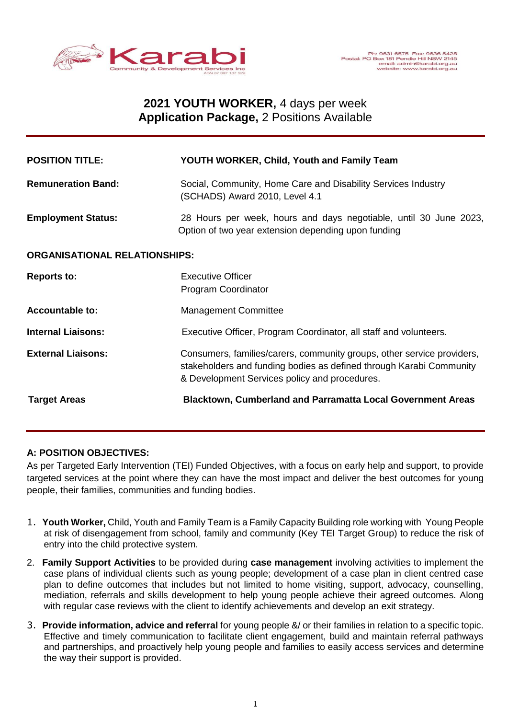

# **2021 YOUTH WORKER,** 4 days per week **Application Package,** 2 Positions Available

| <b>POSITION TITLE:</b>               | YOUTH WORKER, Child, Youth and Family Team                                                                                                                                                     |
|--------------------------------------|------------------------------------------------------------------------------------------------------------------------------------------------------------------------------------------------|
| <b>Remuneration Band:</b>            | Social, Community, Home Care and Disability Services Industry<br>(SCHADS) Award 2010, Level 4.1                                                                                                |
| <b>Employment Status:</b>            | 28 Hours per week, hours and days negotiable, until 30 June 2023,<br>Option of two year extension depending upon funding                                                                       |
| <b>ORGANISATIONAL RELATIONSHIPS:</b> |                                                                                                                                                                                                |
| <b>Reports to:</b>                   | <b>Executive Officer</b><br>Program Coordinator                                                                                                                                                |
| <b>Accountable to:</b>               | <b>Management Committee</b>                                                                                                                                                                    |
| <b>Internal Liaisons:</b>            | Executive Officer, Program Coordinator, all staff and volunteers.                                                                                                                              |
| <b>External Liaisons:</b>            | Consumers, families/carers, community groups, other service providers,<br>stakeholders and funding bodies as defined through Karabi Community<br>& Development Services policy and procedures. |
| <b>Target Areas</b>                  | <b>Blacktown, Cumberland and Parramatta Local Government Areas</b>                                                                                                                             |

## **A: POSITION OBJECTIVES:**

As per Targeted Early Intervention (TEI) Funded Objectives, with a focus on early help and support, to provide targeted services at the point where they can have the most impact and deliver the best outcomes for young people, their families, communities and funding bodies.

- 1. **Youth Worker,** Child, Youth and Family Team is a Family Capacity Building role working with Young People at risk of disengagement from school, family and community (Key TEI Target Group) to reduce the risk of entry into the child protective system.
- 2. **Family Support Activities** to be provided during **case management** involving activities to implement the case plans of individual clients such as young people; development of a case plan in client centred case plan to define outcomes that includes but not limited to home visiting, support, advocacy, counselling, mediation, referrals and skills development to help young people achieve their agreed outcomes. Along with regular case reviews with the client to identify achievements and develop an exit strategy.
- 3. **Provide information, advice and referral** for young people &/ or their families in relation to a specific topic. Effective and timely communication to facilitate client engagement, build and maintain referral pathways and partnerships, and proactively help young people and families to easily access services and determine the way their support is provided.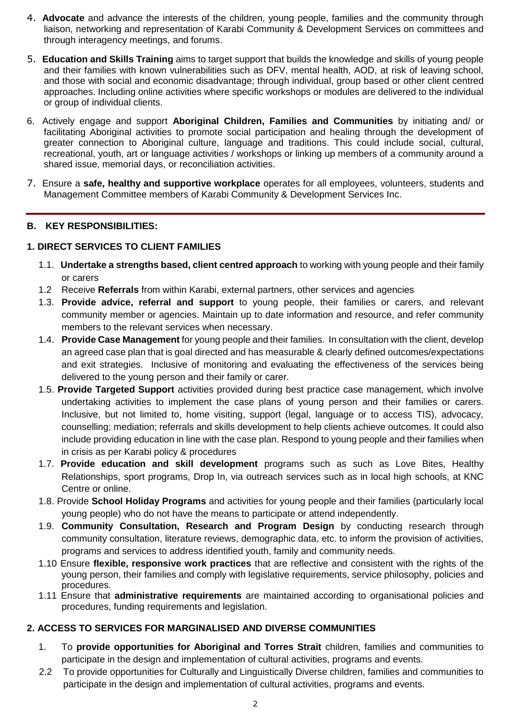- 4. **Advocate** and advance the interests of the children, young people, families and the community through liaison, networking and representation of Karabi Community & Development Services on committees and through interagency meetings, and forums.
- 5. **Education and Skills Training** aims to target support that builds the knowledge and skills of young people and their families with known vulnerabilities such as DFV, mental health, AOD, at risk of leaving school, and those with social and economic disadvantage; through individual, group based or other client centred approaches. Including online activities where specific workshops or modules are delivered to the individual or group of individual clients.
- 6. Actively engage and support **Aboriginal Children, Families and Communities** by initiating and/ or facilitating Aboriginal activities to promote social participation and healing through the development of greater connection to Aboriginal culture, language and traditions. This could include social, cultural, recreational, youth, art or language activities / workshops or linking up members of a community around a shared issue, memorial days, or reconciliation activities.
- 7. Ensure a **safe, healthy and supportive workplace** operates for all employees, volunteers, students and Management Committee members of Karabi Community & Development Services Inc.

## **B. KEY RESPONSIBILITIES:**

## **1. DIRECT SERVICES TO CLIENT FAMILIES**

- 1.1. **Undertake a strengths based, client centred approach** to working with young people and their family or carers
- 1.2 Receive **Referrals** from within Karabi, external partners, other services and agencies
- 1.3. **Provide advice, referral and support** to young people, their families or carers, and relevant community member or agencies. Maintain up to date information and resource, and refer community members to the relevant services when necessary.
- 1.4. **Provide Case Management** for young people and their families. In consultation with the client, develop an agreed case plan that is goal directed and has measurable & clearly defined outcomes/expectations and exit strategies. Inclusive of monitoring and evaluating the effectiveness of the services being delivered to the young person and their family or carer.
- 1.5. **Provide Targeted Support** activities provided during best practice case management, which involve undertaking activities to implement the case plans of young person and their families or carers. Inclusive, but not limited to, home visiting, support (legal, language or to access TIS), advocacy, counselling; mediation; referrals and skills development to help clients achieve outcomes. It could also include providing education in line with the case plan. Respond to young people and their families when in crisis as per Karabi policy & procedures
- 1.7. **Provide education and skill development** programs such as such as Love Bites, Healthy Relationships, sport programs, Drop In, via outreach services such as in local high schools, at KNC Centre or online.
- 1.8. Provide **School Holiday Programs** and activities for young people and their families (particularly local young people) who do not have the means to participate or attend independently.
- 1.9. **Community Consultation, Research and Program Design** by conducting research through community consultation, literature reviews, demographic data, etc. to inform the provision of activities, programs and services to address identified youth, family and community needs.
- 1.10 Ensure **flexible, responsive work practices** that are reflective and consistent with the rights of the young person, their families and comply with legislative requirements, service philosophy, policies and procedures.
- 1.11 Ensure that **administrative requirements** are maintained according to organisational policies and procedures, funding requirements and legislation.

## **2. ACCESS TO SERVICES FOR MARGINALISED AND DIVERSE COMMUNITIES**

- 1. To **provide opportunities for Aboriginal and Torres Strait** children, families and communities to participate in the design and implementation of cultural activities, programs and events.
- 2.2 To provide opportunities for Culturally and Linguistically Diverse children, families and communities to participate in the design and implementation of cultural activities, programs and events.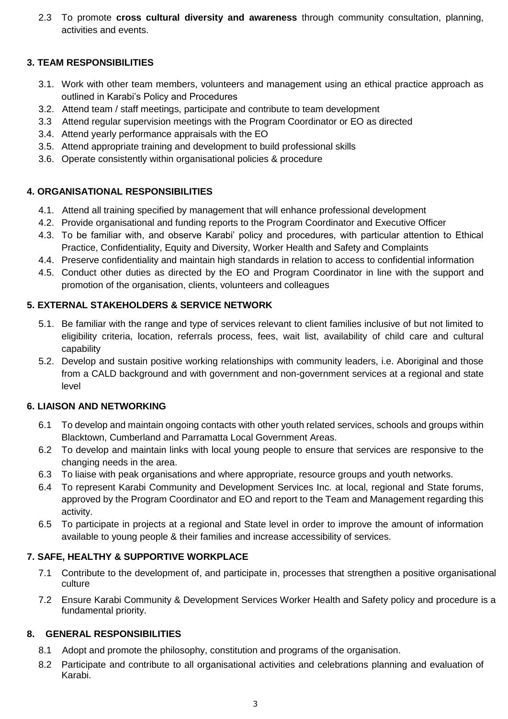2.3 To promote **cross cultural diversity and awareness** through community consultation, planning, activities and events.

## **3. TEAM RESPONSIBILITIES**

- 3.1. Work with other team members, volunteers and management using an ethical practice approach as outlined in Karabi's Policy and Procedures
- 3.2. Attend team / staff meetings, participate and contribute to team development
- 3.3 Attend regular supervision meetings with the Program Coordinator or EO as directed
- 3.4. Attend yearly performance appraisals with the EO
- 3.5. Attend appropriate training and development to build professional skills
- 3.6. Operate consistently within organisational policies & procedure

## **4. ORGANISATIONAL RESPONSIBILITIES**

- 4.1. Attend all training specified by management that will enhance professional development
- 4.2. Provide organisational and funding reports to the Program Coordinator and Executive Officer
- 4.3. To be familiar with, and observe Karabi' policy and procedures, with particular attention to Ethical Practice, Confidentiality, Equity and Diversity, Worker Health and Safety and Complaints
- 4.4. Preserve confidentiality and maintain high standards in relation to access to confidential information
- 4.5. Conduct other duties as directed by the EO and Program Coordinator in line with the support and promotion of the organisation, clients, volunteers and colleagues

## **5. EXTERNAL STAKEHOLDERS & SERVICE NETWORK**

- 5.1. Be familiar with the range and type of services relevant to client families inclusive of but not limited to eligibility criteria, location, referrals process, fees, wait list, availability of child care and cultural capability
- 5.2. Develop and sustain positive working relationships with community leaders, i.e. Aboriginal and those from a CALD background and with government and non-government services at a regional and state level

## **6. LIAISON AND NETWORKING**

- 6.1 To develop and maintain ongoing contacts with other youth related services, schools and groups within Blacktown, Cumberland and Parramatta Local Government Areas.
- 6.2 To develop and maintain links with local young people to ensure that services are responsive to the changing needs in the area.
- 6.3 To liaise with peak organisations and where appropriate, resource groups and youth networks.
- 6.4 To represent Karabi Community and Development Services Inc. at local, regional and State forums, approved by the Program Coordinator and EO and report to the Team and Management regarding this activity.
- 6.5 To participate in projects at a regional and State level in order to improve the amount of information available to young people & their families and increase accessibility of services.

## **7. SAFE, HEALTHY & SUPPORTIVE WORKPLACE**

- 7.1 Contribute to the development of, and participate in, processes that strengthen a positive organisational culture
- 7.2 Ensure Karabi Community & Development Services Worker Health and Safety policy and procedure is a fundamental priority.

## **8. GENERAL RESPONSIBILITIES**

- 8.1 Adopt and promote the philosophy, constitution and programs of the organisation.
- 8.2 Participate and contribute to all organisational activities and celebrations planning and evaluation of Karabi.